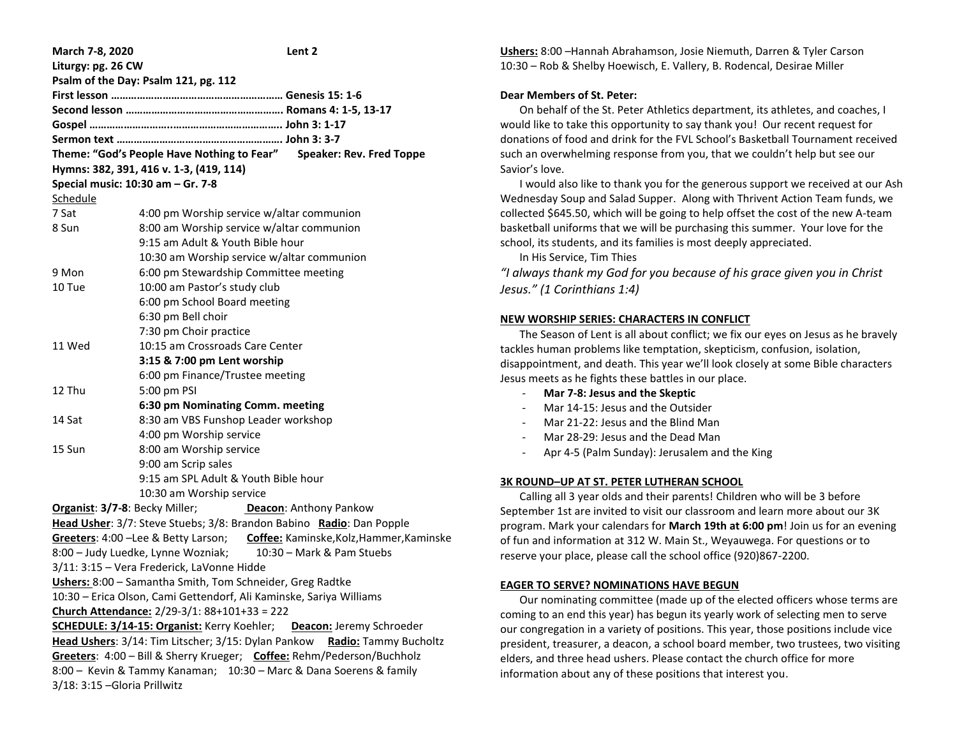| March 7-8, 2020                                                               |                                            | Lent 2 |
|-------------------------------------------------------------------------------|--------------------------------------------|--------|
| Liturgy: pg. 26 CW                                                            |                                            |        |
| Psalm of the Day: Psalm 121, pg. 112                                          |                                            |        |
|                                                                               |                                            |        |
|                                                                               |                                            |        |
|                                                                               |                                            |        |
|                                                                               |                                            |        |
| Theme: "God's People Have Nothing to Fear" Speaker: Rev. Fred Toppe           |                                            |        |
| Hymns: 382, 391, 416 v. 1-3, (419, 114)                                       |                                            |        |
| Special music: 10:30 am - Gr. 7-8                                             |                                            |        |
| Schedule                                                                      |                                            |        |
| 7 Sat                                                                         | 4:00 pm Worship service w/altar communion  |        |
| 8 Sun                                                                         | 8:00 am Worship service w/altar communion  |        |
|                                                                               | 9:15 am Adult & Youth Bible hour           |        |
|                                                                               | 10:30 am Worship service w/altar communion |        |
| 9 Mon                                                                         | 6:00 pm Stewardship Committee meeting      |        |
| 10 Tue                                                                        | 10:00 am Pastor's study club               |        |
|                                                                               | 6:00 pm School Board meeting               |        |
|                                                                               | 6:30 pm Bell choir                         |        |
|                                                                               | 7:30 pm Choir practice                     |        |
| 11 Wed                                                                        | 10:15 am Crossroads Care Center            |        |
|                                                                               | 3:15 & 7:00 pm Lent worship                |        |
|                                                                               | 6:00 pm Finance/Trustee meeting            |        |
| 12 Thu                                                                        | 5:00 pm PSI                                |        |
|                                                                               | 6:30 pm Nominating Comm. meeting           |        |
| 14 Sat                                                                        | 8:30 am VBS Funshop Leader workshop        |        |
|                                                                               | 4:00 pm Worship service                    |        |
| 15 Sun                                                                        | 8:00 am Worship service                    |        |
|                                                                               | 9:00 am Scrip sales                        |        |
|                                                                               | 9:15 am SPL Adult & Youth Bible hour       |        |
|                                                                               | 10:30 am Worship service                   |        |
| Deacon: Anthony Pankow<br><b>Organist: 3/7-8: Becky Miller;</b>               |                                            |        |
| Head Usher: 3/7: Steve Stuebs; 3/8: Brandon Babino Radio: Dan Popple          |                                            |        |
| Greeters: 4:00 - Lee & Betty Larson; Coffee: Kaminske, Kolz, Hammer, Kaminske |                                            |        |
| 8:00 - Judy Luedke, Lynne Wozniak;<br>10:30 - Mark & Pam Stuebs               |                                            |        |
| 3/11: 3:15 - Vera Frederick, LaVonne Hidde                                    |                                            |        |
| Ushers: 8:00 - Samantha Smith, Tom Schneider, Greg Radtke                     |                                            |        |
| 10:30 - Erica Olson, Cami Gettendorf, Ali Kaminske, Sariya Williams           |                                            |        |
| Church Attendance: 2/29-3/1: 88+101+33 = 222                                  |                                            |        |
| <b>SCHEDULE: 3/14-15: Organist: Kerry Koehler;</b> Deacon: Jeremy Schroeder   |                                            |        |
| Head Ushers: 3/14: Tim Litscher; 3/15: Dylan Pankow Radio: Tammy Bucholtz     |                                            |        |
| Greeters: 4:00 - Bill & Sherry Krueger; Coffee: Rehm/Pederson/Buchholz        |                                            |        |
| 8:00 - Kevin & Tammy Kanaman; 10:30 - Marc & Dana Soerens & family            |                                            |        |
| 3/18: 3:15 - Gloria Prillwitz                                                 |                                            |        |

**Ushers:** 8:00 –Hannah Abrahamson, Josie Niemuth, Darren & Tyler Carson 10:30 – Rob & Shelby Hoewisch, E. Vallery, B. Rodencal, Desirae Miller

## **Dear Members of St. Peter:**

 On behalf of the St. Peter Athletics department, its athletes, and coaches, I would like to take this opportunity to say thank you! Our recent request for donations of food and drink for the FVL School's Basketball Tournament received such an overwhelming response from you, that we couldn't help but see our Savior's love.

 I would also like to thank you for the generous support we received at our Ash Wednesday Soup and Salad Supper. Along with Thrivent Action Team funds, we collected \$645.50, which will be going to help offset the cost of the new A-team basketball uniforms that we will be purchasing this summer. Your love for the school, its students, and its families is most deeply appreciated.

In His Service, Tim Thies

*"I always thank my God for you because of his grace given you in Christ Jesus." (1 Corinthians 1:4)*

### **NEW WORSHIP SERIES: CHARACTERS IN CONFLICT**

 The Season of Lent is all about conflict; we fix our eyes on Jesus as he bravely tackles human problems like temptation, skepticism, confusion, isolation, disappointment, and death. This year we'll look closely at some Bible characters Jesus meets as he fights these battles in our place.

- **Mar 7-8: Jesus and the Skeptic**
- Mar 14-15: Jesus and the Outsider
- Mar 21-22: Jesus and the Blind Man
- Mar 28-29: Jesus and the Dead Man
- Apr 4-5 (Palm Sunday): Jerusalem and the King

#### **3K ROUND–UP AT ST. PETER LUTHERAN SCHOOL**

 Calling all 3 year olds and their parents! Children who will be 3 before September 1st are invited to visit our classroom and learn more about our 3K program. Mark your calendars for **March 19th at 6:00 pm**! Join us for an evening of fun and information at 312 W. Main St., Weyauwega. For questions or to reserve your place, please call the school office (920)867-2200.

#### **EAGER TO SERVE? NOMINATIONS HAVE BEGUN**

 Our nominating committee (made up of the elected officers whose terms are coming to an end this year) has begun its yearly work of selecting men to serve our congregation in a variety of positions. This year, those positions include vice president, treasurer, a deacon, a school board member, two trustees, two visiting elders, and three head ushers. Please contact the church office for more information about any of these positions that interest you.